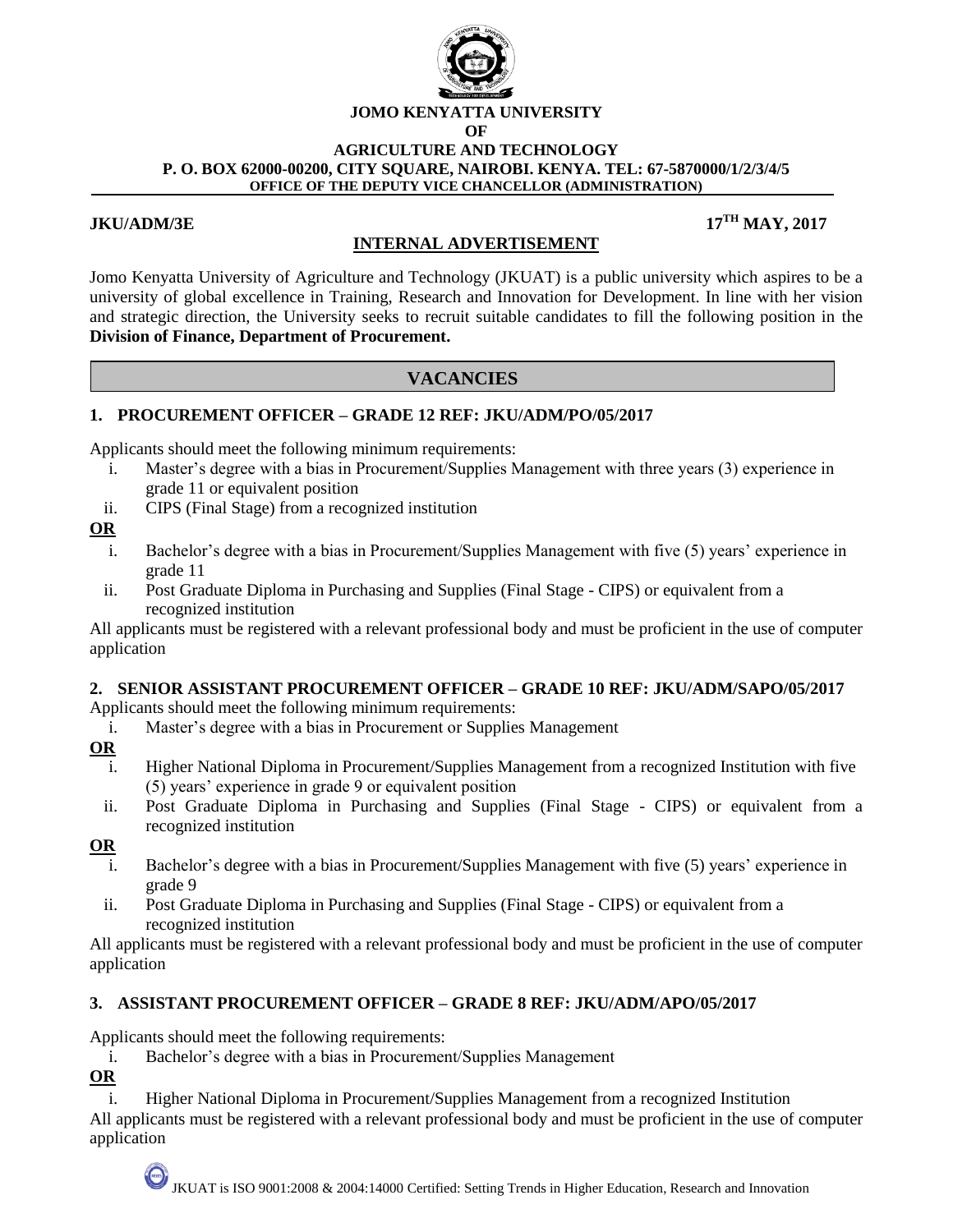

# **JOMO KENYATTA UNIVERSITY**

**OF** 

#### **AGRICULTURE AND TECHNOLOGY P. O. BOX 62000-00200, CITY SQUARE, NAIROBI. KENYA. TEL: 67-5870000/1/2/3/4/5 OFFICE OF THE DEPUTY VICE CHANCELLOR (ADMINISTRATION)**

#### **JKU/ADM/3E**

# **TH MAY, 2017**

Jomo Kenyatta University of Agriculture and Technology (JKUAT) is a public university which aspires to be a university of global excellence in Training, Research and Innovation for Development. In line with her vision and strategic direction, the University seeks to recruit suitable candidates to fill the following position in the **Division of Finance, Department of Procurement.**

**INTERNAL ADVERTISEMENT**

# **VACANCIES**

### **1. PROCUREMENT OFFICER – GRADE 12 REF: JKU/ADM/PO/05/2017**

Applicants should meet the following minimum requirements:

- i. Master's degree with a bias in Procurement/Supplies Management with three years (3) experience in grade 11 or equivalent position
- ii. CIPS (Final Stage) from a recognized institution

### **OR**

- i. Bachelor's degree with a bias in Procurement/Supplies Management with five (5) years' experience in grade 11
- ii. Post Graduate Diploma in Purchasing and Supplies (Final Stage CIPS) or equivalent from a recognized institution

All applicants must be registered with a relevant professional body and must be proficient in the use of computer application

### **2. SENIOR ASSISTANT PROCUREMENT OFFICER – GRADE 10 REF: JKU/ADM/SAPO/05/2017**

Applicants should meet the following minimum requirements:

i. Master's degree with a bias in Procurement or Supplies Management

### **OR**

- i. Higher National Diploma in Procurement/Supplies Management from a recognized Institution with five (5) years' experience in grade 9 or equivalent position
- ii. Post Graduate Diploma in Purchasing and Supplies (Final Stage CIPS) or equivalent from a recognized institution

### **OR**

- i. Bachelor's degree with a bias in Procurement/Supplies Management with five (5) years' experience in grade 9
- ii. Post Graduate Diploma in Purchasing and Supplies (Final Stage CIPS) or equivalent from a recognized institution

All applicants must be registered with a relevant professional body and must be proficient in the use of computer application

### **3. ASSISTANT PROCUREMENT OFFICER – GRADE 8 REF: JKU/ADM/APO/05/2017**

Applicants should meet the following requirements:

i. Bachelor's degree with a bias in Procurement/Supplies Management

**OR**

i. Higher National Diploma in Procurement/Supplies Management from a recognized Institution All applicants must be registered with a relevant professional body and must be proficient in the use of computer application